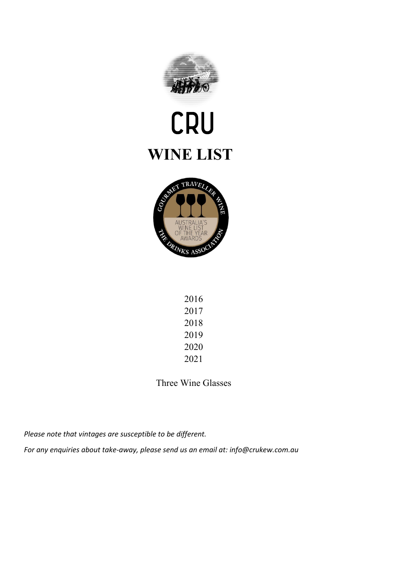

# CRU **WINE LIST**



| 2016 |
|------|
| 2017 |
| 2018 |
| 2019 |
| 2020 |
| 2021 |

Three Wine Glasses

*Please note that vintages are susceptible to be different.*

*For any enquiries about take-away, please send us an email at: info@crukew.com.au*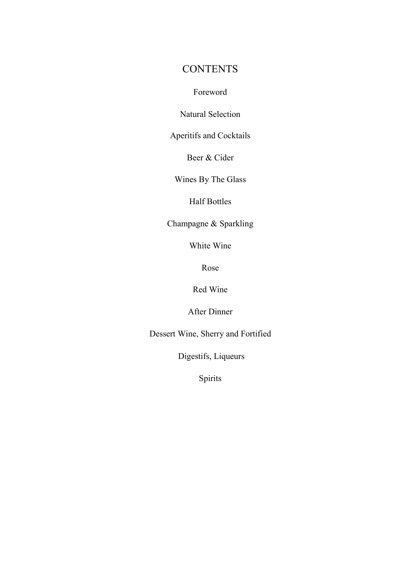#### **CONTENTS**

Foreword

Natural Selection

Aperitifs and Cocktails

Beer & Cider

Wines By The Glass

Half Bottles

Champagne & Sparkling

White Wine

Rose

Red Wine

After Dinner

Dessert Wine, Sherry and Fortified

Digestifs, Liqueurs

Spirits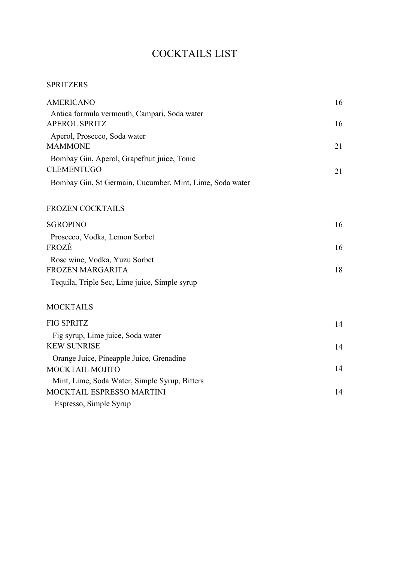## COCKTAILS LIST

#### SPRITZERS

| <b>AMERICANO</b>                                                     | 16 |
|----------------------------------------------------------------------|----|
| Antica formula vermouth, Campari, Soda water<br><b>APEROL SPRITZ</b> | 16 |
| Aperol, Prosecco, Soda water                                         |    |
| <b>MAMMONE</b>                                                       | 21 |
| Bombay Gin, Aperol, Grapefruit juice, Tonic                          |    |
| <b>CLEMENTUGO</b>                                                    | 21 |
| Bombay Gin, St Germain, Cucumber, Mint, Lime, Soda water             |    |
| <b>FROZEN COCKTAILS</b>                                              |    |
| <b>SGROPINO</b>                                                      | 16 |
| Prosecco, Vodka, Lemon Sorbet                                        |    |
| FROZÉ                                                                | 16 |
| Rose wine, Vodka, Yuzu Sorbet                                        |    |
| <b>FROZEN MARGARITA</b>                                              | 18 |
| Tequila, Triple Sec, Lime juice, Simple syrup                        |    |
| <b>MOCKTAILS</b>                                                     |    |
| <b>FIG SPRITZ</b>                                                    | 14 |
| Fig syrup, Lime juice, Soda water                                    |    |
| <b>KEW SUNRISE</b>                                                   | 14 |
| Orange Juice, Pineapple Juice, Grenadine                             |    |
| MOCKTAIL MOJITO                                                      | 14 |
| Mint, Lime, Soda Water, Simple Syrup, Bitters                        |    |
| MOCKTAIL ESPRESSO MARTINI                                            | 14 |
| Espresso, Simple Syrup                                               |    |
|                                                                      |    |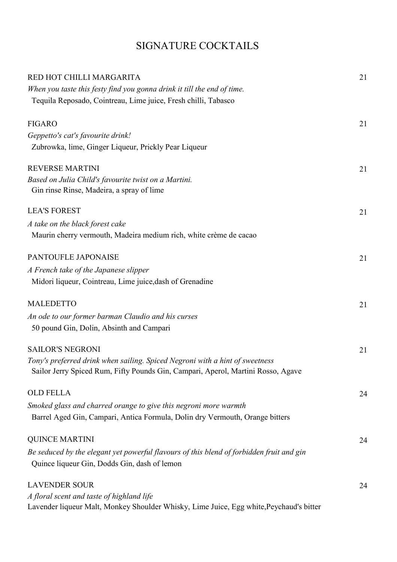## SIGNATURE COCKTAILS

| RED HOT CHILLI MARGARITA                                                                 | 21 |
|------------------------------------------------------------------------------------------|----|
| When you taste this festy find you gonna drink it till the end of time.                  |    |
| Tequila Reposado, Cointreau, Lime juice, Fresh chilli, Tabasco                           |    |
| <b>FIGARO</b>                                                                            | 21 |
| Geppetto's cat's favourite drink!                                                        |    |
| Zubrowka, lime, Ginger Liqueur, Prickly Pear Liqueur                                     |    |
| <b>REVERSE MARTINI</b>                                                                   | 21 |
| Based on Julia Child's favourite twist on a Martini.                                     |    |
| Gin rinse Rinse, Madeira, a spray of lime                                                |    |
| <b>LEA'S FOREST</b>                                                                      | 21 |
| A take on the black forest cake                                                          |    |
| Maurin cherry vermouth, Madeira medium rich, white crème de cacao                        |    |
| PANTOUFLE JAPONAISE                                                                      | 21 |
| A French take of the Japanese slipper                                                    |    |
| Midori liqueur, Cointreau, Lime juice, dash of Grenadine                                 |    |
| <b>MALEDETTO</b>                                                                         | 21 |
| An ode to our former barman Claudio and his curses                                       |    |
| 50 pound Gin, Dolin, Absinth and Campari                                                 |    |
| <b>SAILOR'S NEGRONI</b>                                                                  | 21 |
| Tony's preferred drink when sailing. Spiced Negroni with a hint of sweetness             |    |
| Sailor Jerry Spiced Rum, Fifty Pounds Gin, Campari, Aperol, Martini Rosso, Agave         |    |
| <b>OLD FELLA</b>                                                                         | 24 |
| Smoked glass and charred orange to give this negroni more warmth                         |    |
| Barrel Aged Gin, Campari, Antica Formula, Dolin dry Vermouth, Orange bitters             |    |
| <b>QUINCE MARTINI</b>                                                                    | 24 |
| Be seduced by the elegant yet powerful flavours of this blend of forbidden fruit and gin |    |
| Quince liqueur Gin, Dodds Gin, dash of lemon                                             |    |
| <b>LAVENDER SOUR</b>                                                                     | 24 |
| A floral scent and taste of highland life                                                |    |
| Lavender liqueur Malt, Monkey Shoulder Whisky, Lime Juice, Egg white, Peychaud's bitter  |    |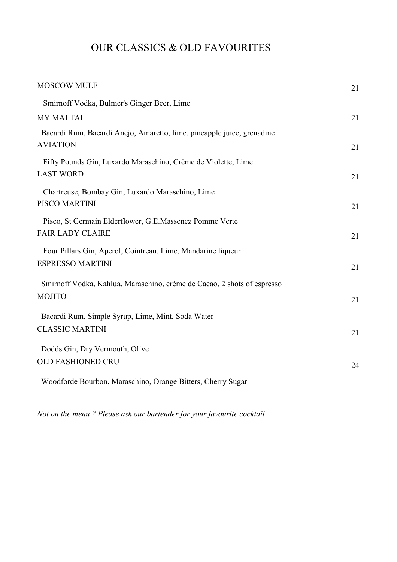## OUR CLASSICS & OLD FAVOURITES

| <b>MOSCOW MULE</b>                                                                        | 21 |
|-------------------------------------------------------------------------------------------|----|
| Smirnoff Vodka, Bulmer's Ginger Beer, Lime                                                |    |
| MY MAI TAI                                                                                | 21 |
| Bacardi Rum, Bacardi Anejo, Amaretto, lime, pineapple juice, grenadine<br><b>AVIATION</b> | 21 |
| Fifty Pounds Gin, Luxardo Maraschino, Crème de Violette, Lime                             |    |
| <b>LAST WORD</b>                                                                          | 21 |
| Chartreuse, Bombay Gin, Luxardo Maraschino, Lime                                          |    |
| PISCO MARTINI                                                                             | 21 |
| Pisco, St Germain Elderflower, G.E.Massenez Pomme Verte                                   |    |
| <b>FAIR LADY CLAIRE</b>                                                                   | 21 |
| Four Pillars Gin, Aperol, Cointreau, Lime, Mandarine liqueur                              |    |
| <b>ESPRESSO MARTINI</b>                                                                   | 21 |
| Smirnoff Vodka, Kahlua, Maraschino, crème de Cacao, 2 shots of espresso                   |    |
| <b>MOJITO</b>                                                                             | 21 |
| Bacardi Rum, Simple Syrup, Lime, Mint, Soda Water                                         |    |
| <b>CLASSIC MARTINI</b>                                                                    | 21 |
| Dodds Gin, Dry Vermouth, Olive                                                            |    |
| <b>OLD FASHIONED CRU</b>                                                                  |    |
|                                                                                           | 24 |
| Woodforde Bourbon, Maraschino, Orange Bitters, Cherry Sugar                               |    |

*Not on the menu ? Please ask our bartender for your favourite cocktail*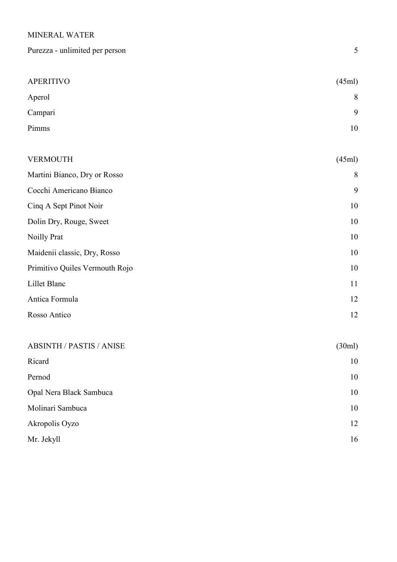#### MINERAL WATER

| Purezza - unlimited per person  | 5      |
|---------------------------------|--------|
|                                 |        |
| <b>APERITIVO</b>                | (45ml) |
| Aperol                          | 8      |
| Campari                         | 9      |
| Pimms                           | 10     |
|                                 |        |
| <b>VERMOUTH</b>                 | (45ml) |
| Martini Bianco, Dry or Rosso    | 8      |
| Cocchi Americano Bianco         | 9      |
| Cinq A Sept Pinot Noir          | 10     |
| Dolin Dry, Rouge, Sweet         | 10     |
| Noilly Prat                     | 10     |
| Maidenii classic, Dry, Rosso    | 10     |
| Primitivo Quiles Vermouth Rojo  | 10     |
| Lillet Blanc                    | 11     |
| Antica Formula                  | 12     |
| Rosso Antico                    | 12     |
|                                 |        |
| <b>ABSINTH / PASTIS / ANISE</b> | (30ml) |
| Ricard                          | 10     |
| Pernod                          | 10     |
| Opal Nera Black Sambuca         | 10     |
| Molinari Sambuca                | 10     |
|                                 |        |

Akropolis Oyzo 12 Mr. Jekyll 16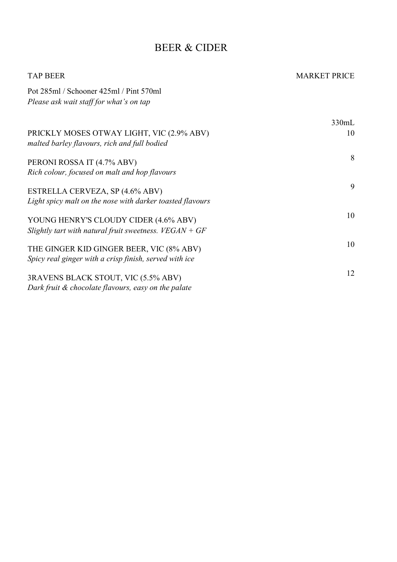#### BEER & CIDER

| <b>TAP BEER</b>                                                                                    | <b>MARKET PRICE</b> |
|----------------------------------------------------------------------------------------------------|---------------------|
| Pot 285ml / Schooner 425ml / Pint 570ml<br>Please ask wait staff for what's on tap                 |                     |
|                                                                                                    | 330mL               |
| PRICKLY MOSES OTWAY LIGHT, VIC (2.9% ABV)<br>malted barley flavours, rich and full bodied          | 10                  |
| PERONI ROSSA IT (4.7% ABV)<br>Rich colour, focused on malt and hop flavours                        | 8                   |
| ESTRELLA CERVEZA, SP (4.6% ABV)<br>Light spicy malt on the nose with darker toasted flavours       | 9                   |
| YOUNG HENRY'S CLOUDY CIDER (4.6% ABV)<br>Slightly tart with natural fruit sweetness. $VEGAN + GF$  | 10                  |
| THE GINGER KID GINGER BEER, VIC (8% ABV)<br>Spicy real ginger with a crisp finish, served with ice | 10                  |
| 3RAVENS BLACK STOUT, VIC (5.5% ABV)<br>Dark fruit & chocolate flavours, easy on the palate         | 12                  |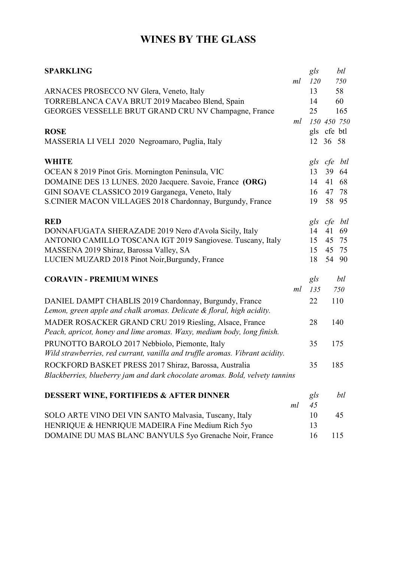## **WINES BY THE GLASS**

| <b>SPARKLING</b>                                                                                                                      |    | gls | btl         |
|---------------------------------------------------------------------------------------------------------------------------------------|----|-----|-------------|
|                                                                                                                                       | ml | 120 | 750         |
| ARNACES PROSECCO NV Glera, Veneto, Italy                                                                                              |    | 13  | 58          |
| TORREBLANCA CAVA BRUT 2019 Macabeo Blend, Spain                                                                                       |    | 14  | 60          |
| GEORGES VESSELLE BRUT GRAND CRU NV Champagne, France                                                                                  |    | 25  | 165         |
|                                                                                                                                       | ml |     | 150 450 750 |
| <b>ROSE</b>                                                                                                                           |    | gls | cfe btl     |
| MASSERIA LI VELI 2020 Negroamaro, Puglia, Italy                                                                                       |    |     | 12 36 58    |
| <b>WHITE</b>                                                                                                                          |    |     | gls cfe btl |
| OCEAN 8 2019 Pinot Gris. Mornington Peninsula, VIC                                                                                    |    | 13  | 39<br>64    |
| DOMAINE DES 13 LUNES. 2020 Jacquere. Savoie, France (ORG)                                                                             |    | 14  | 41<br>68    |
| GINI SOAVE CLASSICO 2019 Garganega, Veneto, Italy                                                                                     |    | 16  | 47<br>78    |
| S.CINIER MACON VILLAGES 2018 Chardonnay, Burgundy, France                                                                             |    | 19  | 58 95       |
| <b>RED</b>                                                                                                                            |    |     | gls cfe btl |
| DONNAFUGATA SHERAZADE 2019 Nero d'Avola Sicily, Italy                                                                                 |    | 14  | 41<br>69    |
| ANTONIO CAMILLO TOSCANA IGT 2019 Sangiovese. Tuscany, Italy                                                                           |    | 15  | 45<br>75    |
| MASSENA 2019 Shiraz, Barossa Valley, SA                                                                                               |    | 15  | 45<br>75    |
| LUCIEN MUZARD 2018 Pinot Noir, Burgundy, France                                                                                       |    | 18  | 54 90       |
| <b>CORAVIN - PREMIUM WINES</b>                                                                                                        |    | gls | btl         |
|                                                                                                                                       | ml | 135 | 750         |
| DANIEL DAMPT CHABLIS 2019 Chardonnay, Burgundy, France<br>Lemon, green apple and chalk aromas. Delicate & floral, high acidity.       |    | 22  | 110         |
| MADER ROSACKER GRAND CRU 2019 Riesling, Alsace, France<br>Peach, apricot, honey and lime aromas. Waxy, medium body, long finish.      |    | 28  | 140         |
| PRUNOTTO BAROLO 2017 Nebbiolo, Piemonte, Italy                                                                                        |    | 35  | 175         |
| Wild strawberries, red currant, vanilla and truffle aromas. Vibrant acidity.                                                          |    |     |             |
| ROCKFORD BASKET PRESS 2017 Shiraz, Barossa, Australia<br>Blackberries, blueberry jam and dark chocolate aromas. Bold, velvety tannins |    | 35  | 185         |
|                                                                                                                                       |    |     |             |
| <b>DESSERT WINE, FORTIFIEDS &amp; AFTER DINNER</b>                                                                                    |    | gls | btl         |
|                                                                                                                                       | ml | 45  |             |
| SOLO ARTE VINO DEI VIN SANTO Malvasia, Tuscany, Italy                                                                                 |    | 10  | 45          |
| HENRIQUE & HENRIQUE MADEIRA Fine Medium Rich 5yo                                                                                      |    | 13  |             |
| DOMAINE DU MAS BLANC BANYULS 5yo Grenache Noir, France                                                                                |    | 16  | 115         |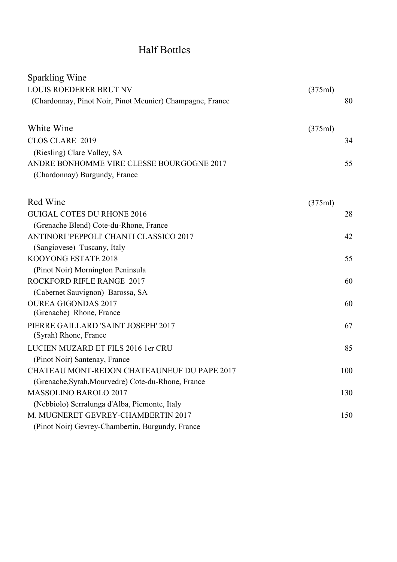## Half Bottles

| Sparkling Wine                                            |         |     |
|-----------------------------------------------------------|---------|-----|
| LOUIS ROEDERER BRUT NV                                    | (375ml) |     |
| (Chardonnay, Pinot Noir, Pinot Meunier) Champagne, France |         | 80  |
| White Wine                                                | (375ml) |     |
| CLOS CLARE 2019                                           |         | 34  |
| (Riesling) Clare Valley, SA                               |         |     |
| ANDRE BONHOMME VIRE CLESSE BOURGOGNE 2017                 |         | 55  |
| (Chardonnay) Burgundy, France                             |         |     |
| Red Wine                                                  | (375ml) |     |
| <b>GUIGAL COTES DU RHONE 2016</b>                         |         | 28  |
| (Grenache Blend) Cote-du-Rhone, France                    |         |     |
| ANTINORI 'PEPPOLI' CHANTI CLASSICO 2017                   |         | 42  |
| (Sangiovese) Tuscany, Italy                               |         |     |
| KOOYONG ESTATE 2018                                       |         | 55  |
| (Pinot Noir) Mornington Peninsula                         |         |     |
| ROCKFORD RIFLE RANGE 2017                                 |         | 60  |
| (Cabernet Sauvignon) Barossa, SA                          |         |     |
| <b>OUREA GIGONDAS 2017</b>                                |         | 60  |
| (Grenache) Rhone, France                                  |         |     |
| PIERRE GAILLARD 'SAINT JOSEPH' 2017                       |         | 67  |
| (Syrah) Rhone, France                                     |         |     |
| LUCIEN MUZARD ET FILS 2016 1er CRU                        |         | 85  |
| (Pinot Noir) Santenay, France                             |         |     |
| CHATEAU MONT-REDON CHATEAUNEUF DU PAPE 2017               |         | 100 |
| (Grenache, Syrah, Mourvedre) Cote-du-Rhone, France        |         |     |
| <b>MASSOLINO BAROLO 2017</b>                              |         | 130 |
| (Nebbiolo) Serralunga d'Alba, Piemonte, Italy             |         |     |
| M. MUGNERET GEVREY-CHAMBERTIN 2017                        |         | 150 |
| (Pinot Noir) Gevrey-Chambertin, Burgundy, France          |         |     |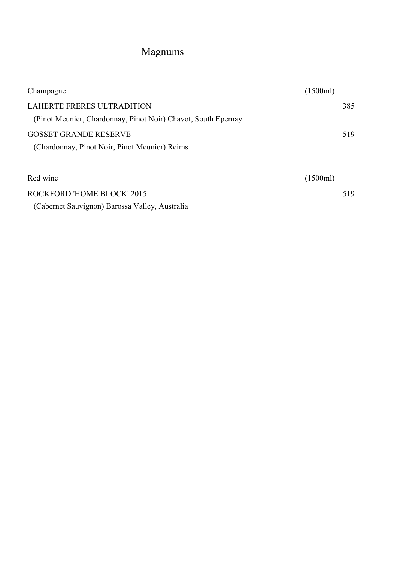# Magnums

| Champagne                                                                                   | (1500ml) |     |
|---------------------------------------------------------------------------------------------|----------|-----|
| LAHERTE FRERES ULTRADITION<br>(Pinot Meunier, Chardonnay, Pinot Noir) Chavot, South Epernay |          | 385 |
| <b>GOSSET GRANDE RESERVE</b><br>(Chardonnay, Pinot Noir, Pinot Meunier) Reims               |          | 519 |
| Red wine                                                                                    | (1500ml) |     |
| ROCKFORD 'HOME BLOCK' 2015<br>(Cabernet Sauvignon) Barossa Valley, Australia                |          | 519 |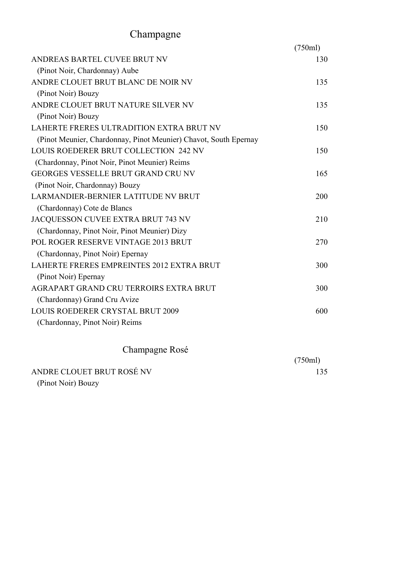# Champagne

|                                                                  | (750ml) |
|------------------------------------------------------------------|---------|
| ANDREAS BARTEL CUVEE BRUT NV                                     | 130     |
| (Pinot Noir, Chardonnay) Aube                                    |         |
| ANDRE CLOUET BRUT BLANC DE NOIR NV                               | 135     |
| (Pinot Noir) Bouzy                                               |         |
| ANDRE CLOUET BRUT NATURE SILVER NV                               | 135     |
| (Pinot Noir) Bouzy                                               |         |
| LAHERTE FRERES ULTRADITION EXTRA BRUT NV                         | 150     |
| (Pinot Meunier, Chardonnay, Pinot Meunier) Chavot, South Epernay |         |
| LOUIS ROEDERER BRUT COLLECTION 242 NV                            | 150     |
| (Chardonnay, Pinot Noir, Pinot Meunier) Reims                    |         |
| <b>GEORGES VESSELLE BRUT GRAND CRU NV</b>                        | 165     |
| (Pinot Noir, Chardonnay) Bouzy                                   |         |
| LARMANDIER-BERNIER LATITUDE NV BRUT                              | 200     |
| (Chardonnay) Cote de Blancs                                      |         |
| JACQUESSON CUVEE EXTRA BRUT 743 NV                               | 210     |
| (Chardonnay, Pinot Noir, Pinot Meunier) Dizy                     |         |
| POL ROGER RESERVE VINTAGE 2013 BRUT                              | 270     |
| (Chardonnay, Pinot Noir) Epernay                                 |         |
| LAHERTE FRERES EMPREINTES 2012 EXTRA BRUT                        | 300     |
| (Pinot Noir) Epernay                                             |         |
| AGRAPART GRAND CRU TERROIRS EXTRA BRUT                           | 300     |
| (Chardonnay) Grand Cru Avize                                     |         |
| <b>LOUIS ROEDERER CRYSTAL BRUT 2009</b>                          | 600     |
| (Chardonnay, Pinot Noir) Reims                                   |         |
| Champagne Rosé                                                   |         |
|                                                                  | (750m)  |

(750ml) ANDRE CLOUET BRUT ROSÉ NV 135

(Pinot Noir) Bouzy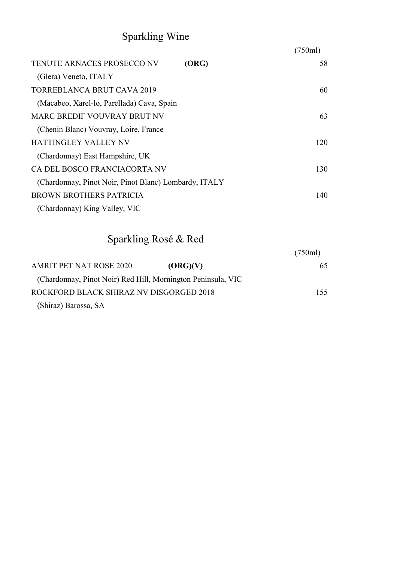# Sparkling Wine

|                                                       |       | (750ml) |
|-------------------------------------------------------|-------|---------|
| <b>TENUTE ARNACES PROSECCO NV</b>                     | (ORG) | 58      |
| (Glera) Veneto, ITALY                                 |       |         |
| <b>TORREBLANCA BRUT CAVA 2019</b>                     |       | 60      |
| (Macabeo, Xarel-lo, Parellada) Cava, Spain            |       |         |
| <b>MARC BREDIF VOUVRAY BRUT NV</b>                    |       | 63      |
| (Chenin Blanc) Vouvray, Loire, France                 |       |         |
| <b>HATTINGLEY VALLEY NV</b>                           |       | 120     |
| (Chardonnay) East Hampshire, UK                       |       |         |
| CA DEL BOSCO FRANCIACORTA NV                          |       | 130     |
| (Chardonnay, Pinot Noir, Pinot Blanc) Lombardy, ITALY |       |         |
| <b>BROWN BROTHERS PATRICIA</b>                        |       | 140     |
| (Chardonnay) King Valley, VIC                         |       |         |

# Sparkling Rosé & Red

| (750ml)                                                      |
|--------------------------------------------------------------|
| (ORG)(V)<br>65.                                              |
| (Chardonnay, Pinot Noir) Red Hill, Mornington Peninsula, VIC |
| ROCKFORD BLACK SHIRAZ NV DISGORGED 2018<br>155.              |
|                                                              |
|                                                              |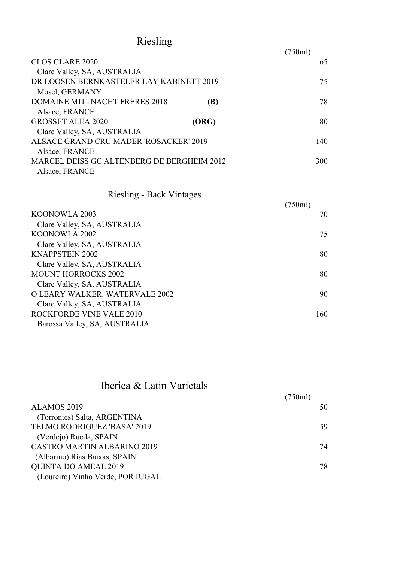# Riesling

|                                            |       | (750ml) |     |
|--------------------------------------------|-------|---------|-----|
| <b>CLOS CLARE 2020</b>                     |       |         | 65  |
| Clare Valley, SA, AUSTRALIA                |       |         |     |
| DR LOOSEN BERNKASTELER LAY KABINETT 2019   |       |         | 75  |
| Mosel, GERMANY                             |       |         |     |
| <b>DOMAINE MITTNACHT FRERES 2018</b>       | (B)   |         | 78  |
| Alsace, FRANCE                             |       |         |     |
| <b>GROSSET ALEA 2020</b>                   | (ORG) |         | 80  |
| Clare Valley, SA, AUSTRALIA                |       |         |     |
| ALSACE GRAND CRU MADER 'ROSACKER' 2019     |       |         | 140 |
| Alsace, FRANCE                             |       |         |     |
| MARCEL DEISS GC ALTENBERG DE BERGHEIM 2012 |       |         | 300 |
| Alsace, FRANCE                             |       |         |     |

#### Riesling - Back Vintages

| $\frac{1}{2}$                  | (750ml) |     |
|--------------------------------|---------|-----|
| KOONOWLA 2003                  |         | 70  |
| Clare Valley, SA, AUSTRALIA    |         |     |
| KOONOWLA 2002                  |         | 75  |
| Clare Valley, SA, AUSTRALIA    |         |     |
| <b>KNAPPSTEIN 2002</b>         |         | 80  |
| Clare Valley, SA, AUSTRALIA    |         |     |
| <b>MOUNT HORROCKS 2002</b>     |         | 80  |
| Clare Valley, SA, AUSTRALIA    |         |     |
| O LEARY WALKER, WATERVALE 2002 |         | 90  |
| Clare Valley, SA, AUSTRALIA    |         |     |
| ROCKFORDE VINE VALE 2010       |         | 160 |
| Barossa Valley, SA, AUSTRALIA  |         |     |
|                                |         |     |

#### Iberica & Latin Varietals

|                                    | (750ml) |    |
|------------------------------------|---------|----|
| ALAMOS 2019                        |         | 50 |
| (Torrontes) Salta, ARGENTINA       |         |    |
| TELMO RODRIGUEZ 'BASA' 2019        |         | 59 |
| (Verdejo) Rueda, SPAIN             |         |    |
| <b>CASTRO MARTIN ALBARINO 2019</b> |         | 74 |
| (Albarino) Rías Baixas, SPAIN      |         |    |
| <b>QUINTA DO AMEAL 2019</b>        |         | 78 |
| (Loureiro) Vinho Verde, PORTUGAL   |         |    |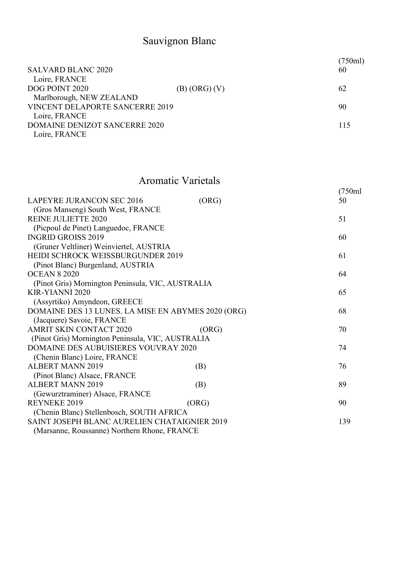# Sauvignon Blanc

| <b>SALVARD BLANC 2020</b><br>60              | 750ml) |
|----------------------------------------------|--------|
| Loire, FRANCE                                |        |
| DOG POINT 2020<br>62<br>$(B)$ (ORG) $(V)$    |        |
| Marlborough, NEW ZEALAND                     |        |
| <b>VINCENT DELAPORTE SANCERRE 2019</b><br>90 |        |
| Loire, FRANCE                                |        |
| <b>DOMAINE DENIZOT SANCERRE 2020</b>         | 115    |
| Loire, FRANCE                                |        |

### Aromatic Varietals

| (750ml |
|--------|

| <b>LAPEYRE JURANCON SEC 2016</b>                   | (ORG) | 50  |
|----------------------------------------------------|-------|-----|
| (Gros Manseng) South West, FRANCE                  |       |     |
| <b>REINE JULIETTE 2020</b>                         |       | 51  |
| (Picpoul de Pinet) Languedoc, FRANCE               |       |     |
| <b>INGRID GROISS 2019</b>                          |       | 60  |
| (Gruner Veltliner) Weinviertel, AUSTRIA            |       |     |
| <b>HEIDI SCHROCK WEISSBURGUNDER 2019</b>           |       | 61  |
| (Pinot Blanc) Burgenland, AUSTRIA                  |       |     |
| <b>OCEAN 8 2020</b>                                |       | 64  |
| (Pinot Gris) Mornington Peninsula, VIC, AUSTRALIA  |       |     |
| KIR-YIANNI 2020                                    |       | 65  |
| (Assyrtiko) Amyndeon, GREECE                       |       |     |
| DOMAINE DES 13 LUNES. LA MISE EN ABYMES 2020 (ORG) |       | 68  |
| (Jacquere) Savoie, FRANCE                          |       |     |
| <b>AMRIT SKIN CONTACT 2020</b>                     | (ORG) | 70  |
| (Pinot Gris) Mornington Peninsula, VIC, AUSTRALIA  |       |     |
| <b>DOMAINE DES AUBUISIERES VOUVRAY 2020</b>        |       | 74  |
| (Chenin Blanc) Loire, FRANCE                       |       |     |
| <b>ALBERT MANN 2019</b>                            | (B)   | 76  |
| (Pinot Blanc) Alsace, FRANCE                       |       |     |
| <b>ALBERT MANN 2019</b>                            | (B)   | 89  |
| (Gewurztraminer) Alsace, FRANCE                    |       |     |
| REYNEKE 2019                                       | (ORG) | 90  |
| (Chenin Blanc) Stellenbosch, SOUTH AFRICA          |       |     |
| SAINT JOSEPH BLANC AURELIEN CHATAIGNIER 2019       |       | 139 |
| (Marsanne, Roussanne) Northern Rhone, FRANCE       |       |     |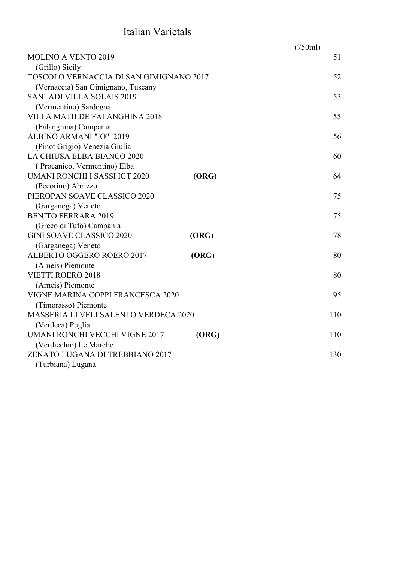## Italian Varietals

|                                              |       | (750ml) |     |
|----------------------------------------------|-------|---------|-----|
| <b>MOLINO A VENTO 2019</b>                   |       |         | 51  |
| (Grillo) Sicily                              |       |         |     |
| TOSCOLO VERNACCIA DI SAN GIMIGNANO 2017      |       |         | 52  |
| (Vernaccia) San Gimignano, Tuscany           |       |         |     |
| <b>SANTADI VILLA SOLAIS 2019</b>             |       |         | 53  |
| (Vermentino) Sardegna                        |       |         |     |
| <b>VILLA MATILDE FALANGHINA 2018</b>         |       |         | 55  |
| (Falanghina) Campania                        |       |         |     |
| ALBINO ARMANI "IO" 2019                      |       |         | 56  |
| (Pinot Grigio) Venezia Giulia                |       |         |     |
| LA CHIUSA ELBA BIANCO 2020                   |       |         | 60  |
| (Procanico, Vermentino) Elba                 |       |         |     |
| <b>UMANI RONCHI I SASSI IGT 2020</b>         | (ORG) |         | 64  |
| (Pecorino) Abrizzo                           |       |         |     |
| PIEROPAN SOAVE CLASSICO 2020                 |       |         | 75  |
| (Garganega) Veneto                           |       |         |     |
| <b>BENITO FERRARA 2019</b>                   |       |         | 75  |
| (Greco di Tufo) Campania                     |       |         |     |
| <b>GINI SOAVE CLASSICO 2020</b>              | (ORG) |         | 78  |
| (Garganega) Veneto                           |       |         |     |
| ALBERTO OGGERO ROERO 2017                    | (ORG) |         | 80  |
| (Arneis) Piemonte                            |       |         |     |
| <b>VIETTI ROERO 2018</b>                     |       |         | 80  |
| (Arneis) Piemonte                            |       |         |     |
| VIGNE MARINA COPPI FRANCESCA 2020            |       |         | 95  |
| (Timorasso) Piemonte                         |       |         |     |
| <b>MASSERIA LI VELI SALENTO VERDECA 2020</b> |       |         | 110 |
| (Verdeca) Puglia                             |       |         |     |
| UMANI RONCHI VECCHI VIGNE 2017               | (ORG) |         | 110 |
| (Verdicchio) Le Marche                       |       |         |     |
| ZENATO LUGANA DI TREBBIANO 2017              |       |         | 130 |
| (Turbiana) Lugana                            |       |         |     |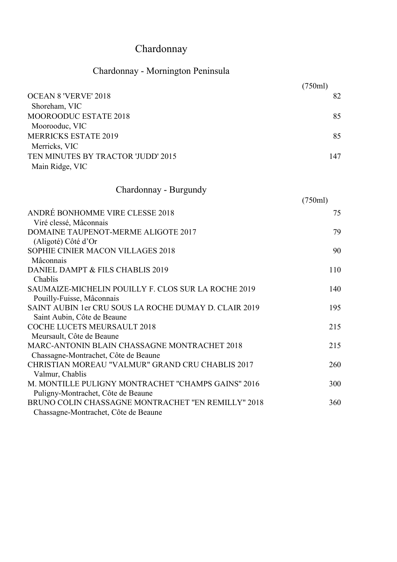# Chardonnay

## Chardonnay - Mornington Peninsula

|                                                                                    | (750ml) |
|------------------------------------------------------------------------------------|---------|
| <b>OCEAN 8 'VERVE' 2018</b>                                                        | 82      |
| Shoreham, VIC                                                                      |         |
| MOOROODUC ESTATE 2018                                                              | 85      |
| Moorooduc, VIC                                                                     |         |
| <b>MERRICKS ESTATE 2019</b>                                                        | 85      |
| Merricks, VIC                                                                      |         |
| TEN MINUTES BY TRACTOR 'JUDD' 2015                                                 | 147     |
| Main Ridge, VIC                                                                    |         |
|                                                                                    |         |
| Chardonnay - Burgundy                                                              |         |
|                                                                                    | (750ml) |
| ANDRÉ BONHOMME VIRE CLESSE 2018                                                    | 75      |
| Viré clessé, Mâconnais                                                             |         |
| DOMAINE TAUPENOT-MERME ALIGOTE 2017                                                | 79      |
| (Aligoté) Côté d'Or                                                                |         |
| SOPHIE CINIER MACON VILLAGES 2018                                                  | 90      |
| Mâconnais                                                                          |         |
| DANIEL DAMPT & FILS CHABLIS 2019                                                   | 110     |
| Chablis                                                                            |         |
| SAUMAIZE-MICHELIN POUILLY F. CLOS SUR LA ROCHE 2019                                | 140     |
| Pouilly-Fuisse, Mâconnais<br>SAINT AUBIN 1er CRU SOUS LA ROCHE DUMAY D. CLAIR 2019 | 195     |
| Saint Aubin, Côte de Beaune                                                        |         |
| COCHE LUCETS MEURSAULT 2018                                                        | 215     |
| Meursault, Côte de Beaune                                                          |         |
| MARC-ANTONIN BLAIN CHASSAGNE MONTRACHET 2018                                       | 215     |
| Chassagne-Montrachet, Côte de Beaune                                               |         |
| CHRISTIAN MOREAU "VALMUR" GRAND CRU CHABLIS 2017                                   | 260     |
| Valmur, Chablis                                                                    |         |
| M. MONTILLE PULIGNY MONTRACHET "CHAMPS GAINS" 2016                                 | 300     |
| Puligny-Montrachet, Côte de Beaune                                                 |         |
| BRUNO COLIN CHASSAGNE MONTRACHET "EN REMILLY" 2018                                 | 360     |
| Chassagne-Montrachet, Côte de Beaune                                               |         |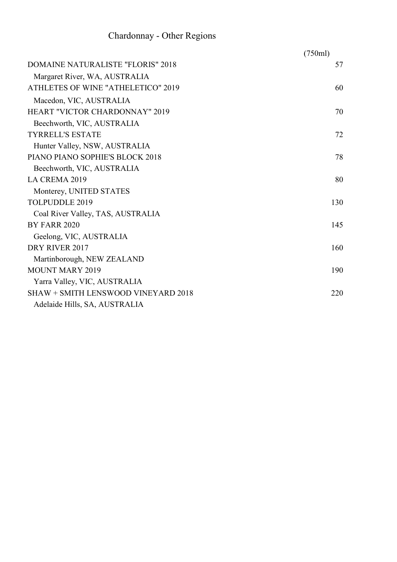## Chardonnay - Other Regions

|                                            | (750ml) |
|--------------------------------------------|---------|
| <b>DOMAINE NATURALISTE "FLORIS" 2018</b>   | 57      |
| Margaret River, WA, AUSTRALIA              |         |
| ATHLETES OF WINE "ATHELETICO" 2019         | 60      |
| Macedon, VIC, AUSTRALIA                    |         |
| <b>HEART "VICTOR CHARDONNAY" 2019</b>      | 70      |
| Beechworth, VIC, AUSTRALIA                 |         |
| <b>TYRRELL'S ESTATE</b>                    | 72      |
| Hunter Valley, NSW, AUSTRALIA              |         |
| PIANO PIANO SOPHIE'S BLOCK 2018            | 78      |
| Beechworth, VIC, AUSTRALIA                 |         |
| LA CREMA 2019                              | 80      |
| Monterey, UNITED STATES                    |         |
| <b>TOLPUDDLE 2019</b>                      | 130     |
| Coal River Valley, TAS, AUSTRALIA          |         |
| <b>BY FARR 2020</b>                        | 145     |
| Geelong, VIC, AUSTRALIA                    |         |
| DRY RIVER 2017                             | 160     |
| Martinborough, NEW ZEALAND                 |         |
| <b>MOUNT MARY 2019</b>                     | 190     |
| Yarra Valley, VIC, AUSTRALIA               |         |
| <b>SHAW + SMITH LENSWOOD VINEYARD 2018</b> | 220     |
| Adelaide Hills, SA, AUSTRALIA              |         |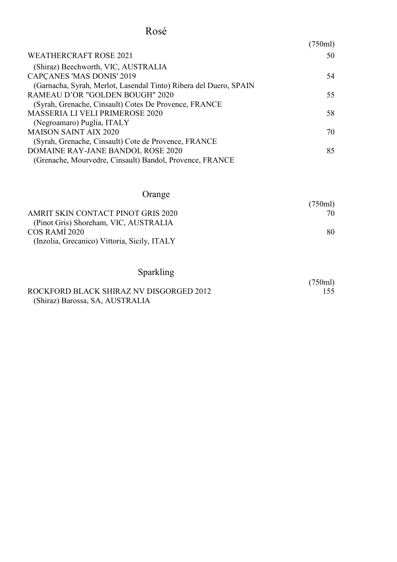#### Rosé

|                                                                   | (750ml) |
|-------------------------------------------------------------------|---------|
| <b>WEATHERCRAFT ROSE 2021</b>                                     | 50      |
| (Shiraz) Beechworth, VIC, AUSTRALIA                               |         |
| <b>CAPCANES 'MAS DONIS' 2019</b>                                  | 54      |
| (Garnacha, Syrah, Merlot, Lasendal Tinto) Ribera del Duero, SPAIN |         |
| RAMEAU D'OR "GOLDEN BOUGH" 2020                                   | 55      |
| (Syrah, Grenache, Cinsault) Cotes De Provence, FRANCE             |         |
| <b>MASSERIA LI VELI PRIMEROSE 2020</b>                            | 58      |
| (Negroamaro) Puglia, ITALY                                        |         |
| <b>MAISON SAINT AIX 2020</b>                                      | 70      |
| (Syrah, Grenache, Cinsault) Cote de Provence, FRANCE              |         |
| DOMAINE RAY-JANE BANDOL ROSE 2020                                 | 85      |
| (Grenache, Mourvedre, Cinsault) Bandol, Provence, FRANCE          |         |
|                                                                   |         |

#### Orange

|                                              | (750ml) |
|----------------------------------------------|---------|
| AMRIT SKIN CONTACT PINOT GRIS 2020           | 70      |
| (Pinot Gris) Shoreham, VIC, AUSTRALIA        |         |
| COS RAMI 2020                                | 80      |
| (Inzolia, Grecanico) Vittoria, Sicily, ITALY |         |

 $(750ml)$ <br> $155$ 

#### Sparkling

#### ROCKFORD BLACK SHIRAZ NV DISGORGED 2012 (Shiraz) Barossa, SA, AUSTRALIA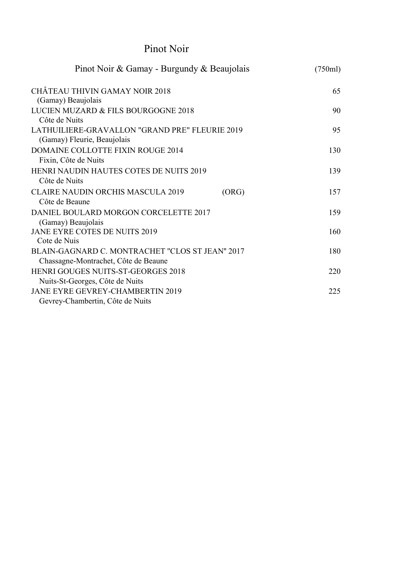#### Pinot Noir

| Pinot Noir & Gamay - Burgundy & Beaujolais        | (750ml) |
|---------------------------------------------------|---------|
| <b>CHÂTEAU THIVIN GAMAY NOIR 2018</b>             | 65      |
| (Gamay) Beaujolais                                |         |
| LUCIEN MUZARD & FILS BOURGOGNE 2018               | 90      |
| Côte de Nuits                                     |         |
| LATHUILIERE-GRAVALLON "GRAND PRE" FLEURIE 2019    | 95      |
| (Gamay) Fleurie, Beaujolais                       |         |
| DOMAINE COLLOTTE FIXIN ROUGE 2014                 | 130     |
| Fixin, Côte de Nuits                              |         |
| HENRI NAUDIN HAUTES COTES DE NUITS 2019           | 139     |
| Côte de Nuits                                     |         |
| <b>CLAIRE NAUDIN ORCHIS MASCULA 2019</b><br>(ORG) | 157     |
| Côte de Beaune                                    |         |
| DANIEL BOULARD MORGON CORCELETTE 2017             | 159     |
| (Gamay) Beaujolais                                |         |
| JANE EYRE COTES DE NUITS 2019                     | 160     |
| Cote de Nuis                                      |         |
| BLAIN-GAGNARD C. MONTRACHET "CLOS ST JEAN" 2017   | 180     |
| Chassagne-Montrachet, Côte de Beaune              |         |
| <b>HENRI GOUGES NUITS-ST-GEORGES 2018</b>         | 220     |
| Nuits-St-Georges, Côte de Nuits                   |         |
| <b>JANE EYRE GEVREY-CHAMBERTIN 2019</b>           | 225     |
| Gevrey-Chambertin, Côte de Nuits                  |         |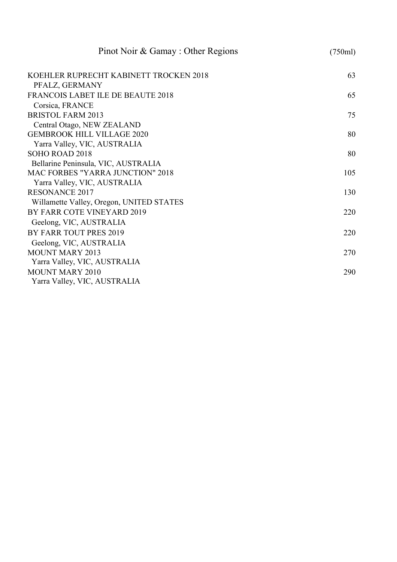| Pinot Noir & Gamay: Other Regions        | (750ml) |
|------------------------------------------|---------|
| KOEHLER RUPRECHT KABINETT TROCKEN 2018   | 63      |
| PFALZ, GERMANY                           |         |
| FRANCOIS LABET ILE DE BEAUTE 2018        | 65      |
| Corsica, FRANCE                          |         |
| <b>BRISTOL FARM 2013</b>                 | 75      |
| Central Otago, NEW ZEALAND               |         |
| <b>GEMBROOK HILL VILLAGE 2020</b>        | 80      |
| Yarra Valley, VIC, AUSTRALIA             |         |
| SOHO ROAD 2018                           | 80      |
| Bellarine Peninsula, VIC, AUSTRALIA      |         |
| <b>MAC FORBES "YARRA JUNCTION" 2018</b>  | 105     |
| Yarra Valley, VIC, AUSTRALIA             |         |
| <b>RESONANCE 2017</b>                    | 130     |
| Willamette Valley, Oregon, UNITED STATES |         |
| BY FARR COTE VINEYARD 2019               | 220     |
| Geelong, VIC, AUSTRALIA                  |         |
| BY FARR TOUT PRES 2019                   | 220     |
| Geelong, VIC, AUSTRALIA                  |         |
| <b>MOUNT MARY 2013</b>                   | 270     |
| Yarra Valley, VIC, AUSTRALIA             |         |
| <b>MOUNT MARY 2010</b>                   | 290     |
| Yarra Valley, VIC, AUSTRALIA             |         |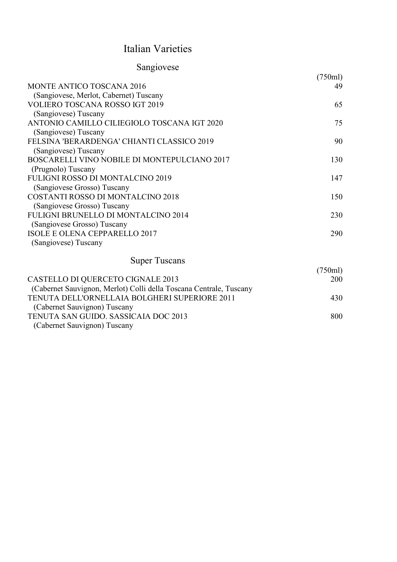#### Italian Varieties

| Sangiovese                                   |         |
|----------------------------------------------|---------|
|                                              | (750ml) |
| MONTE ANTICO TOSCANA 2016                    | 49      |
| (Sangiovese, Merlot, Cabernet) Tuscany       |         |
| <b>VOLIERO TOSCANA ROSSO IGT 2019</b>        | 65      |
| (Sangiovese) Tuscany                         |         |
| ANTONIO CAMILLO CILIEGIOLO TOSCANA IGT 2020  | 75      |
| (Sangiovese) Tuscany                         |         |
| FELSINA 'BERARDENGA' CHIANTI CLASSICO 2019   | 90      |
| (Sangiovese) Tuscany                         |         |
| BOSCARELLI VINO NOBILE DI MONTEPULCIANO 2017 | 130     |
| (Prugnolo) Tuscany                           |         |
| <b>FULIGNI ROSSO DI MONTALCINO 2019</b>      | 147     |
| (Sangiovese Grosso) Tuscany                  |         |
| <b>COSTANTI ROSSO DI MONTALCINO 2018</b>     | 150     |
| (Sangiovese Grosso) Tuscany                  |         |
| FULIGNI BRUNELLO DI MONTALCINO 2014          | 230     |
| (Sangiovese Grosso) Tuscany                  |         |
| <b>ISOLE E OLENA CEPPARELLO 2017</b>         | 290     |
| (Sangiovese) Tuscany                         |         |
| <b>Super Tuscans</b>                         |         |
|                                              | (750ml) |

|                                                                    | (//JUMI) |
|--------------------------------------------------------------------|----------|
| CASTELLO DI QUERCETO CIGNALE 2013                                  | 200      |
| (Cabernet Sauvignon, Merlot) Colli della Toscana Centrale, Tuscany |          |
| TENUTA DELL'ORNELLAIA BOLGHERI SUPERIORE 2011                      | 430      |
| (Cabernet Sauvignon) Tuscany                                       |          |
| TENUTA SAN GUIDO. SASSICAIA DOC 2013                               | 800      |
| (Cabernet Sauvignon) Tuscany                                       |          |
|                                                                    |          |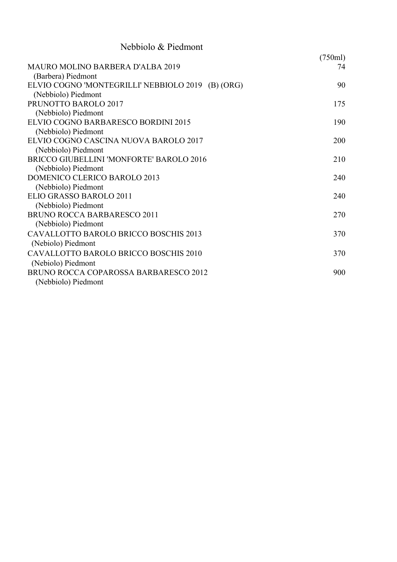| Nebbiolo & Piedmont                                                      |               |
|--------------------------------------------------------------------------|---------------|
| <b>MAURO MOLINO BARBERA D'ALBA 2019</b><br>(Barbera) Piedmont            | (750ml)<br>74 |
| ELVIO COGNO 'MONTEGRILLI' NEBBIOLO 2019 (B) (ORG)<br>(Nebbiolo) Piedmont | 90            |
| PRUNOTTO BAROLO 2017<br>(Nebbiolo) Piedmont                              | 175           |
| ELVIO COGNO BARBARESCO BORDINI 2015<br>(Nebbiolo) Piedmont               | 190           |
| ELVIO COGNO CASCINA NUOVA BAROLO 2017<br>(Nebbiolo) Piedmont             | 200           |
| BRICCO GIUBELLINI 'MONFORTE' BAROLO 2016<br>(Nebbiolo) Piedmont          | 210           |
| DOMENICO CLERICO BAROLO 2013<br>(Nebbiolo) Piedmont                      | 240           |
| ELIO GRASSO BAROLO 2011<br>(Nebbiolo) Piedmont                           | 240           |
| BRUNO ROCCA BARBARESCO 2011<br>(Nebbiolo) Piedmont                       | 270           |
| CAVALLOTTO BAROLO BRICCO BOSCHIS 2013<br>(Nebiolo) Piedmont              | 370           |
| CAVALLOTTO BAROLO BRICCO BOSCHIS 2010<br>(Nebiolo) Piedmont              | 370           |
| BRUNO ROCCA COPAROSSA BARBARESCO 2012<br>(Nebbiolo) Piedmont             | 900           |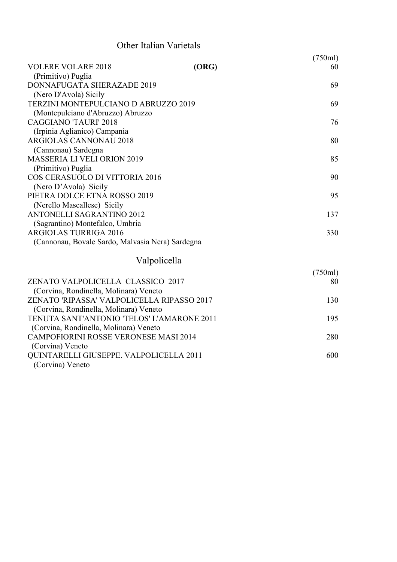#### Other Italian Varietals

|                                                                 |       | (750ml) |
|-----------------------------------------------------------------|-------|---------|
| <b>VOLERE VOLARE 2018</b>                                       | (ORG) | 60      |
| (Primitivo) Puglia                                              |       |         |
| DONNAFUGATA SHERAZADE 2019                                      |       | 69      |
| (Nero D'Avola) Sicily<br>TERZINI MONTEPULCIANO D ABRUZZO 2019   |       | 69      |
| (Montepulciano d'Abruzzo) Abruzzo                               |       |         |
| <b>CAGGIANO 'TAURI' 2018</b>                                    |       | 76      |
| (Irpinia Aglianico) Campania                                    |       |         |
| <b>ARGIOLAS CANNONAU 2018</b>                                   |       | 80      |
| (Cannonau) Sardegna                                             |       |         |
| <b>MASSERIA LI VELI ORION 2019</b>                              |       | 85      |
| (Primitivo) Puglia                                              |       |         |
| COS CERASUOLO DI VITTORIA 2016                                  |       | 90      |
| (Nero D'Avola) Sicily                                           |       |         |
| PIETRA DOLCE ETNA ROSSO 2019                                    |       | 95      |
| (Nerello Mascallese) Sicily<br><b>ANTONELLI SAGRANTINO 2012</b> |       | 137     |
| (Sagrantino) Montefalco, Umbria                                 |       |         |
| <b>ARGIOLAS TURRIGA 2016</b>                                    |       | 330     |
| (Cannonau, Bovale Sardo, Malvasia Nera) Sardegna                |       |         |
|                                                                 |       |         |
| Valpolicella                                                    |       |         |
|                                                                 |       | (750ml) |
| ZENATO VALPOLICELLA CLASSICO 2017                               |       | 80      |
| (Corvina, Rondinella, Molinara) Veneto                          |       |         |
| ZENATO 'RIPASSA' VALPOLICELLA RIPASSO 2017                      |       | 130     |
| (Corvina, Rondinella, Molinara) Veneto                          |       |         |
| TENUTA SANT'ANTONIO 'TELOS' L'AMARONE 2011                      |       | 195     |
| (Corvina, Rondinella, Molinara) Veneto                          |       |         |
| <b>CAMPOFIORINI ROSSE VERONESE MASI 2014</b>                    |       | 280     |
| (Corvina) Veneto<br>QUINTARELLI GIUSEPPE. VALPOLICELLA 2011     |       | 600     |
| (Corvina) Veneto                                                |       |         |
|                                                                 |       |         |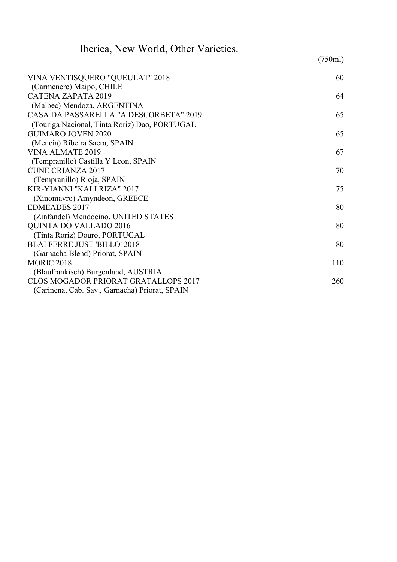| Iberica, New World, Other Varieties.           |         |
|------------------------------------------------|---------|
|                                                | (750ml) |
| VINA VENTISQUERO "QUEULAT" 2018                | 60      |
| (Carmenere) Maipo, CHILE                       |         |
| CATENA ZAPATA 2019                             | 64      |
| (Malbec) Mendoza, ARGENTINA                    |         |
| CASA DA PASSARELLA "A DESCORBETA" 2019         | 65      |
| (Touriga Nacional, Tinta Roriz) Dao, PORTUGAL  |         |
| <b>GUIMARO JOVEN 2020</b>                      | 65      |
| (Mencia) Ribeira Sacra, SPAIN                  |         |
| <b>VINA ALMATE 2019</b>                        | 67      |
| (Tempranillo) Castilla Y Leon, SPAIN           |         |
| <b>CUNE CRIANZA 2017</b>                       | 70      |
| (Tempranillo) Rioja, SPAIN                     |         |
| KIR-YIANNI "KALI RIZA" 2017                    | 75      |
| (Xinomavro) Amyndeon, GREECE                   |         |
| <b>EDMEADES 2017</b>                           | 80      |
| (Zinfandel) Mendocino, UNITED STATES           |         |
| <b>QUINTA DO VALLADO 2016</b>                  | 80      |
| (Tinta Roriz) Douro, PORTUGAL                  |         |
| <b>BLAI FERRE JUST 'BILLO' 2018</b>            | 80      |
| (Garnacha Blend) Priorat, SPAIN                |         |
| <b>MORIC 2018</b>                              | 110     |
| (Blaufrankisch) Burgenland, AUSTRIA            |         |
| CLOS MOGADOR PRIORAT GRATALLOPS 2017           | 260     |
| (Carinena, Cab. Sav., Garnacha) Priorat, SPAIN |         |
|                                                |         |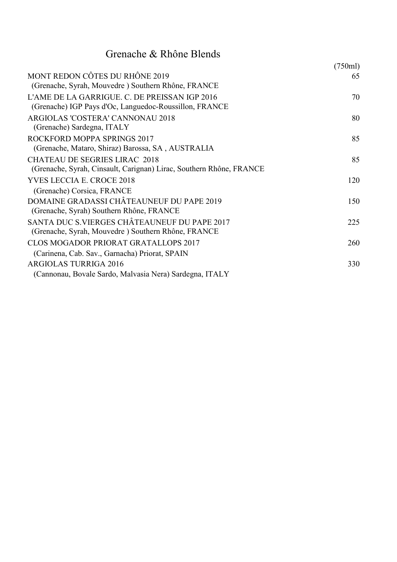## Grenache & Rhône Blends

|                                                                                                             | (750ml) |
|-------------------------------------------------------------------------------------------------------------|---------|
| MONT REDON CÔTES DU RHÔNE 2019<br>(Grenache, Syrah, Mouvedre) Southern Rhône, FRANCE                        | 65      |
| L'AME DE LA GARRIGUE. C. DE PREISSAN IGP 2016<br>(Grenache) IGP Pays d'Oc, Languedoc-Roussillon, FRANCE     | 70      |
| ARGIOLAS 'COSTERA' CANNONAU 2018<br>(Grenache) Sardegna, ITALY                                              | 80      |
| ROCKFORD MOPPA SPRINGS 2017<br>(Grenache, Mataro, Shiraz) Barossa, SA, AUSTRALIA                            | 85      |
| <b>CHATEAU DE SEGRIES LIRAC 2018</b><br>(Grenache, Syrah, Cinsault, Carignan) Lirac, Southern Rhône, FRANCE | 85      |
| <b>YVES LECCIA E. CROCE 2018</b><br>(Grenache) Corsica, FRANCE                                              | 120     |
| DOMAINE GRADASSI CHÂTEAUNEUF DU PAPE 2019<br>(Grenache, Syrah) Southern Rhône, FRANCE                       | 150     |
| SANTA DUC S.VIERGES CHÂTEAUNEUF DU PAPE 2017<br>(Grenache, Syrah, Mouvedre) Southern Rhône, FRANCE          | 225     |
| <b>CLOS MOGADOR PRIORAT GRATALLOPS 2017</b><br>(Carinena, Cab. Sav., Garnacha) Priorat, SPAIN               | 260     |
| <b>ARGIOLAS TURRIGA 2016</b><br>(Cannonau, Bovale Sardo, Malvasia Nera) Sardegna, ITALY                     | 330     |
|                                                                                                             |         |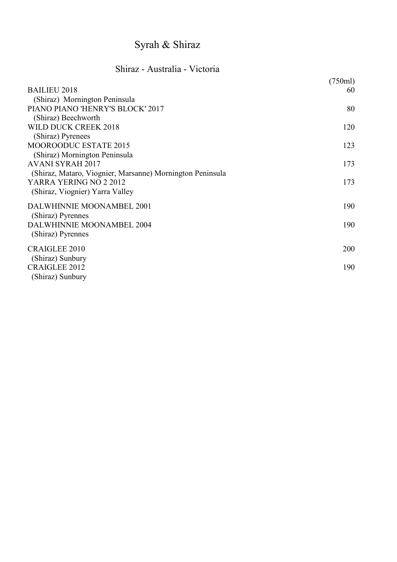# Syrah & Shiraz

#### Shiraz - Australia - Victoria

| <b>BAILIEU 2018</b>                                       | (750ml)<br>60 |
|-----------------------------------------------------------|---------------|
| (Shiraz) Mornington Peninsula                             |               |
| PIANO PIANO 'HENRY'S BLOCK' 2017                          | 80            |
| (Shiraz) Beechworth                                       |               |
| WILD DUCK CREEK 2018<br>(Shiraz) Pyrenees                 | 120           |
| <b>MOOROODUC ESTATE 2015</b>                              | 123           |
| (Shiraz) Mornington Peninsula<br><b>AVANI SYRAH 2017</b>  | 173           |
| (Shiraz, Mataro, Viognier, Marsanne) Mornington Peninsula |               |
| YARRA YERING NO 2 2012<br>(Shiraz, Viognier) Yarra Valley | 173           |
| DALWHINNIE MOONAMBEL 2001<br>(Shiraz) Pyrennes            | 190           |
| DALWHINNIE MOONAMBEL 2004<br>(Shiraz) Pyrennes            | 190           |
| <b>CRAIGLEE 2010</b>                                      | 200           |
| (Shiraz) Sunbury                                          |               |
| <b>CRAIGLEE 2012</b>                                      | 190           |
| (Shiraz) Sunbury                                          |               |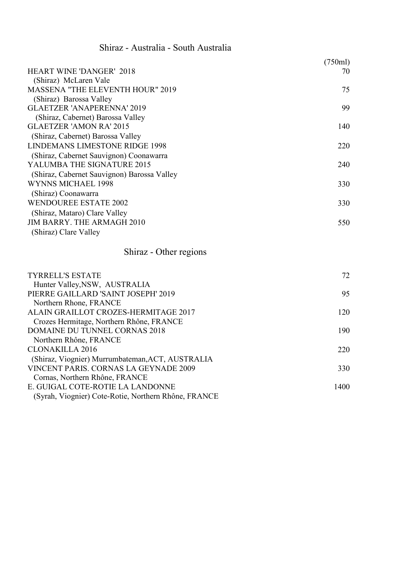#### Shiraz - Australia - South Australia

|                                             | (750ml) |
|---------------------------------------------|---------|
| <b>HEART WINE 'DANGER' 2018</b>             | 70      |
| (Shiraz) McLaren Vale                       |         |
| <b>MASSENA "THE ELEVENTH HOUR" 2019</b>     | 75      |
| (Shiraz) Barossa Valley                     |         |
| <b>GLAETZER 'ANAPERENNA' 2019</b>           | 99      |
| (Shiraz, Cabernet) Barossa Valley           |         |
| <b>GLAETZER 'AMON RA' 2015</b>              | 140     |
| (Shiraz, Cabernet) Barossa Valley           |         |
| <b>LINDEMANS LIMESTONE RIDGE 1998</b>       | 220     |
| (Shiraz, Cabernet Sauvignon) Coonawarra     |         |
| YALUMBA THE SIGNATURE 2015                  | 240     |
| (Shiraz, Cabernet Sauvignon) Barossa Valley |         |
| WYNNS MICHAEL 1998                          | 330     |
| (Shiraz) Coonawarra                         |         |
| <b>WENDOUREE ESTATE 2002</b>                | 330     |
| (Shiraz, Mataro) Clare Valley               |         |
| <b>JIM BARRY. THE ARMAGH 2010</b>           | 550     |
| (Shiraz) Clare Valley                       |         |

#### Shiraz - Other regions

| <b>TYRRELL'S ESTATE</b>                              | 72   |
|------------------------------------------------------|------|
| Hunter Valley, NSW, AUSTRALIA                        |      |
| PIERRE GAILLARD 'SAINT JOSEPH' 2019                  | 95   |
| Northern Rhone, FRANCE                               |      |
| ALAIN GRAILLOT CROZES-HERMITAGE 2017                 | 120  |
| Crozes Hermitage, Northern Rhône, FRANCE             |      |
| <b>DOMAINE DU TUNNEL CORNAS 2018</b>                 | 190  |
| Northern Rhône, FRANCE                               |      |
| <b>CLONAKILLA 2016</b>                               | 220  |
| (Shiraz, Viognier) Murrumbateman, ACT, AUSTRALIA     |      |
| <b>VINCENT PARIS, CORNAS LA GEYNADE 2009</b>         | 330  |
| Cornas, Northern Rhône, FRANCE                       |      |
| E. GUIGAL COTE-ROTIE LA LANDONNE                     | 1400 |
| (Syrah, Viognier) Cote-Rotie, Northern Rhône, FRANCE |      |
|                                                      |      |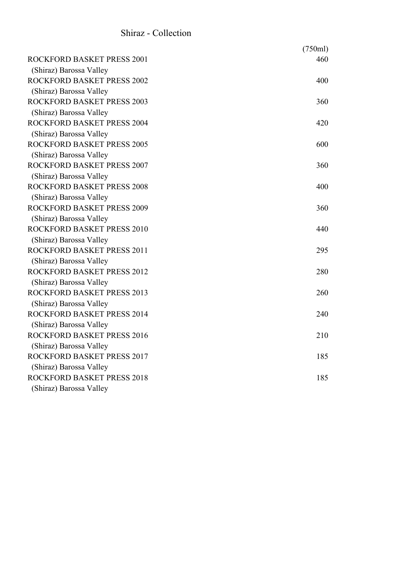#### Shiraz - Collection

|                                   | (750ml) |
|-----------------------------------|---------|
| ROCKFORD BASKET PRESS 2001        | 460     |
| (Shiraz) Barossa Valley           |         |
| <b>ROCKFORD BASKET PRESS 2002</b> | 400     |
| (Shiraz) Barossa Valley           |         |
| <b>ROCKFORD BASKET PRESS 2003</b> | 360     |
| (Shiraz) Barossa Valley           |         |
| <b>ROCKFORD BASKET PRESS 2004</b> | 420     |
| (Shiraz) Barossa Valley           |         |
| <b>ROCKFORD BASKET PRESS 2005</b> | 600     |
| (Shiraz) Barossa Valley           |         |
| <b>ROCKFORD BASKET PRESS 2007</b> | 360     |
| (Shiraz) Barossa Valley           |         |
| ROCKFORD BASKET PRESS 2008        | 400     |
| (Shiraz) Barossa Valley           |         |
| <b>ROCKFORD BASKET PRESS 2009</b> | 360     |
| (Shiraz) Barossa Valley           |         |
| ROCKFORD BASKET PRESS 2010        | 440     |
| (Shiraz) Barossa Valley           |         |
| ROCKFORD BASKET PRESS 2011        | 295     |
| (Shiraz) Barossa Valley           |         |
| ROCKFORD BASKET PRESS 2012        | 280     |
| (Shiraz) Barossa Valley           |         |
| ROCKFORD BASKET PRESS 2013        | 260     |
| (Shiraz) Barossa Valley           |         |
| ROCKFORD BASKET PRESS 2014        | 240     |
| (Shiraz) Barossa Valley           |         |
| <b>ROCKFORD BASKET PRESS 2016</b> | 210     |
| (Shiraz) Barossa Valley           |         |
| ROCKFORD BASKET PRESS 2017        | 185     |
| (Shiraz) Barossa Valley           |         |
| ROCKFORD BASKET PRESS 2018        | 185     |
| (Shiraz) Barossa Valley           |         |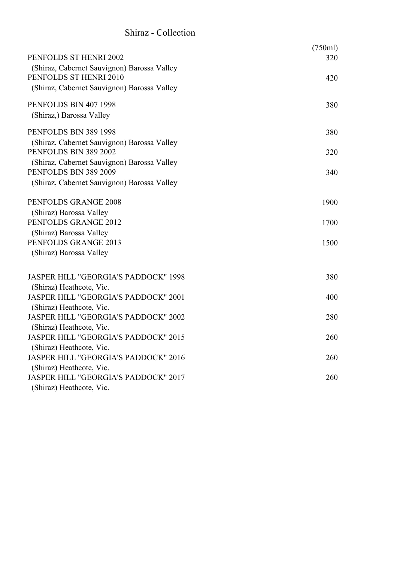#### Shiraz - Collection

| PENFOLDS ST HENRI 2002                      | (750ml)<br>320 |
|---------------------------------------------|----------------|
| (Shiraz, Cabernet Sauvignon) Barossa Valley |                |
| PENFOLDS ST HENRI 2010                      | 420            |
| (Shiraz, Cabernet Sauvignon) Barossa Valley |                |
|                                             |                |
| PENFOLDS BIN 407 1998                       | 380            |
| (Shiraz,) Barossa Valley                    |                |
|                                             |                |
| PENFOLDS BIN 389 1998                       | 380            |
| (Shiraz, Cabernet Sauvignon) Barossa Valley |                |
| PENFOLDS BIN 389 2002                       | 320            |
| (Shiraz, Cabernet Sauvignon) Barossa Valley |                |
| PENFOLDS BIN 389 2009                       | 340            |
| (Shiraz, Cabernet Sauvignon) Barossa Valley |                |
| PENFOLDS GRANGE 2008                        | 1900           |
| (Shiraz) Barossa Valley                     |                |
| PENFOLDS GRANGE 2012                        | 1700           |
| (Shiraz) Barossa Valley                     |                |
| PENFOLDS GRANGE 2013                        | 1500           |
| (Shiraz) Barossa Valley                     |                |
|                                             |                |
| <b>JASPER HILL "GEORGIA'S PADDOCK" 1998</b> | 380            |
| (Shiraz) Heathcote, Vic.                    |                |
| <b>JASPER HILL "GEORGIA'S PADDOCK" 2001</b> | 400            |
| (Shiraz) Heathcote, Vic.                    |                |
| JASPER HILL "GEORGIA'S PADDOCK" 2002        | 280            |
| (Shiraz) Heathcote, Vic.                    |                |
| JASPER HILL "GEORGIA'S PADDOCK" 2015        | 260            |
| (Shiraz) Heathcote, Vic.                    |                |
| JASPER HILL "GEORGIA'S PADDOCK" 2016        | 260            |
| (Shiraz) Heathcote, Vic.                    |                |
| JASPER HILL "GEORGIA'S PADDOCK" 2017        | 260            |
| (Shiraz) Heathcote, Vic.                    |                |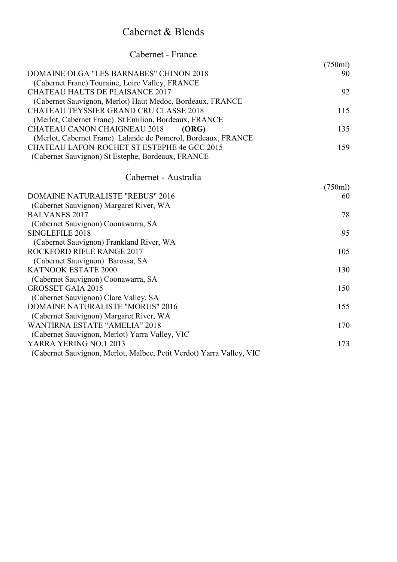#### Cabernet & Blends

| Cabernet - France                                                                                      |         |
|--------------------------------------------------------------------------------------------------------|---------|
|                                                                                                        | (750ml) |
| <b>DOMAINE OLGA "LES BARNABES" CHINON 2018</b><br>(Cabernet Franc) Touraine, Loire Valley, FRANCE      | 90      |
| <b>CHATEAU HAUTS DE PLAISANCE 2017</b>                                                                 | 92      |
| (Cabernet Sauvignon, Merlot) Haut Medoc, Bordeaux, FRANCE                                              |         |
| <b>CHATEAU TEYSSIER GRAND CRU CLASSE 2018</b><br>(Merlot, Cabernet Franc) St Emilion, Bordeaux, FRANCE | 115     |
| <b>CHATEAU CANON CHAIGNEAU 2018</b><br>(ORG)                                                           | 135     |
| (Merlot, Cabernet Franc) Lalande de Pomerol, Bordeaux, FRANCE                                          |         |
| CHATEAU LAFON-ROCHET ST ESTEPHE 4e GCC 2015                                                            | 159     |
| (Cabernet Sauvignon) St Estephe, Bordeaux, FRANCE                                                      |         |
| Cabernet - Australia                                                                                   |         |
|                                                                                                        | (750ml) |
| <b>DOMAINE NATURALISTE "REBUS" 2016</b>                                                                | 60      |
| (Cabernet Sauvignon) Margaret River, WA                                                                |         |
| <b>BALVANES 2017</b>                                                                                   | 78      |
| (Cabernet Sauvignon) Coonawarra, SA<br>SINGLEFILE 2018                                                 | 95      |
| (Cabernet Sauvignon) Frankland River, WA                                                               |         |
| ROCKFORD RIFLE RANGE 2017                                                                              | 105     |
| (Cabernet Sauvignon) Barossa, SA                                                                       |         |
| KATNOOK ESTATE 2000                                                                                    | 130     |
| (Cabernet Sauvignon) Coonawarra, SA                                                                    |         |
| <b>GROSSET GAIA 2015</b>                                                                               | 150     |
| (Cabernet Sauvignon) Clare Valley, SA                                                                  |         |
| <b>DOMAINE NATURALISTE "MORUS" 2016</b>                                                                | 155     |
| (Cabernet Sauvignon) Margaret River, WA                                                                |         |
| <b>WANTIRNA ESTATE "AMELIA" 2018</b>                                                                   | 170     |
| (Cabernet Sauvignon, Merlot) Yarra Valley, VIC<br>YARRA YERING NO.1 2013                               | 173     |
| (Cabernet Sauvignon, Merlot, Malbec, Petit Verdot) Yarra Valley, VIC                                   |         |
|                                                                                                        |         |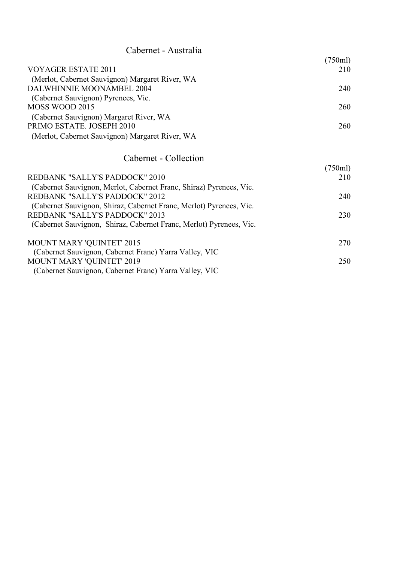| Cabernet - Australia                            |         |
|-------------------------------------------------|---------|
|                                                 | (750ml) |
| <b>VOYAGER ESTATE 2011</b>                      | 210     |
| (Merlot, Cabernet Sauvignon) Margaret River, WA |         |
| DALWHINNIE MOONAMBEL 2004                       | 240     |
| (Cabernet Sauvignon) Pyrenees, Vic.             |         |
| MOSS WOOD 2015                                  | 260     |
| (Cabernet Sauvignon) Margaret River, WA         |         |
| PRIMO ESTATE. JOSEPH 2010                       | 260     |
| (Merlot, Cabernet Sauvignon) Margaret River, WA |         |
|                                                 |         |
|                                                 |         |

#### Cabernet - Collection

|                                                                     | (750ml) |
|---------------------------------------------------------------------|---------|
| REDBANK "SALLY'S PADDOCK" 2010                                      | 210     |
| (Cabernet Sauvignon, Merlot, Cabernet Franc, Shiraz) Pyrenees, Vic. |         |
| REDBANK "SALLY'S PADDOCK" 2012                                      | 240     |
| (Cabernet Sauvignon, Shiraz, Cabernet Franc, Merlot) Pyrenees, Vic. |         |
| REDBANK "SALLY'S PADDOCK" 2013                                      | 230     |
| (Cabernet Sauvignon, Shiraz, Cabernet Franc, Merlot) Pyrenees, Vic. |         |
| MOUNT MARY 'QUINTET' 2015                                           | 270     |
| (Cabernet Sauvignon, Cabernet Franc) Yarra Valley, VIC              |         |
| MOUNT MARY 'QUINTET' 2019                                           | 250     |
| (Cabernet Sauvignon, Cabernet Franc) Yarra Valley, VIC              |         |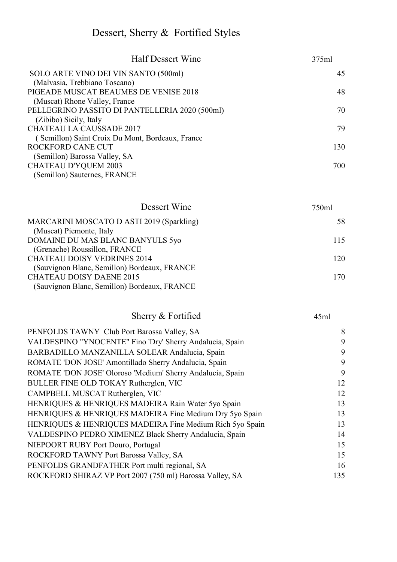# Dessert, Sherry & Fortified Styles

| <b>Half Dessert Wine</b>                         | 375ml |
|--------------------------------------------------|-------|
| SOLO ARTE VINO DEI VIN SANTO (500ml)             | 45    |
| (Malvasia, Trebbiano Toscano)                    |       |
| PIGEADE MUSCAT BEAUMES DE VENISE 2018            | 48    |
| (Muscat) Rhone Valley, France                    |       |
| PELLEGRINO PASSITO DI PANTELLERIA 2020 (500ml)   | 70    |
| (Zibibo) Sicily, Italy                           |       |
| <b>CHATEAU LA CAUSSADE 2017</b>                  | 79    |
| (Semillon) Saint Croix Du Mont, Bordeaux, France |       |
| <b>ROCKFORD CANE CUT</b>                         | 130   |
| (Semillon) Barossa Valley, SA                    |       |
| <b>CHATEAU D'YQUEM 2003</b>                      | 700   |
| (Semillon) Sauternes, FRANCE                     |       |
|                                                  |       |

| Dessert Wine                                 | 750ml |
|----------------------------------------------|-------|
| MARCARINI MOSCATO D ASTI 2019 (Sparkling)    | 58    |
| (Muscat) Piemonte, Italy                     |       |
| DOMAINE DU MAS BLANC BANYULS 5yo             | 115   |
| (Grenache) Roussillon, FRANCE                |       |
| <b>CHATEAU DOISY VEDRINES 2014</b>           | 120   |
| (Sauvignon Blanc, Semillon) Bordeaux, FRANCE |       |
| <b>CHATEAU DOISY DAENE 2015</b>              | 170   |
| (Sauvignon Blanc, Semillon) Bordeaux, FRANCE |       |
|                                              |       |

#### Sherry & Fortified 45ml

| PENFOLDS TAWNY Club Port Barossa Valley, SA                | 8   |
|------------------------------------------------------------|-----|
| VALDESPINO "YNOCENTE" Fino 'Dry' Sherry Andalucia, Spain   | 9   |
| BARBADILLO MANZANILLA SOLEAR Andalucia, Spain              | 9   |
| ROMATE 'DON JOSE' Amontillado Sherry Andalucia, Spain      | 9   |
| ROMATE 'DON JOSE' Oloroso 'Medium' Sherry Andalucia, Spain | 9   |
| BULLER FINE OLD TOKAY Rutherglen, VIC                      | 12  |
| CAMPBELL MUSCAT Rutherglen, VIC                            | 12  |
| HENRIQUES & HENRIQUES MADEIRA Rain Water 5yo Spain         | 13  |
| HENRIQUES & HENRIQUES MADEIRA Fine Medium Dry 5yo Spain    | 13  |
| HENRIQUES & HENRIQUES MADEIRA Fine Medium Rich 5yo Spain   | 13  |
| VALDESPINO PEDRO XIMENEZ Black Sherry Andalucia, Spain     | 14  |
| NIEPOORT RUBY Port Douro, Portugal                         | 15  |
| ROCKFORD TAWNY Port Barossa Valley, SA                     | 15  |
| PENFOLDS GRANDFATHER Port multi regional, SA               | 16  |
| ROCKFORD SHIRAZ VP Port 2007 (750 ml) Barossa Valley, SA   | 135 |
|                                                            |     |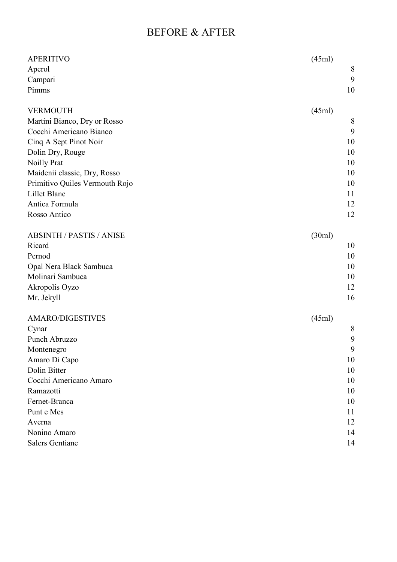#### BEFORE & AFTER

| <b>APERITIVO</b>                | (45ml) |
|---------------------------------|--------|
| Aperol                          | 8      |
| Campari                         | 9      |
| Pimms                           | 10     |
| <b>VERMOUTH</b>                 | (45ml) |
| Martini Bianco, Dry or Rosso    | 8      |
| Cocchi Americano Bianco         | 9      |
| Cinq A Sept Pinot Noir          | 10     |
| Dolin Dry, Rouge                | 10     |
| Noilly Prat                     | 10     |
| Maidenii classic, Dry, Rosso    | 10     |
| Primitivo Quiles Vermouth Rojo  | 10     |
| Lillet Blanc                    | 11     |
| Antica Formula                  | 12     |
| Rosso Antico                    | 12     |
| <b>ABSINTH / PASTIS / ANISE</b> | (30ml) |
| Ricard                          | 10     |
| Pernod                          | 10     |
| Opal Nera Black Sambuca         | 10     |
| Molinari Sambuca                | 10     |
| Akropolis Oyzo                  | 12     |
| Mr. Jekyll                      | 16     |
| <b>AMARO/DIGESTIVES</b>         | (45ml) |
| Cynar                           | 8      |
| Punch Abruzzo                   | 9      |
| Montenegro                      | 9      |
| Amaro Di Capo                   | 10     |
| Dolin Bitter                    | 10     |
| Cocchi Americano Amaro          | 10     |
| Ramazotti                       | 10     |
| Fernet-Branca                   | 10     |
| Punt e Mes                      | 11     |
| Averna                          | 12     |
| Nonino Amaro                    | 14     |
| <b>Salers Gentiane</b>          | 14     |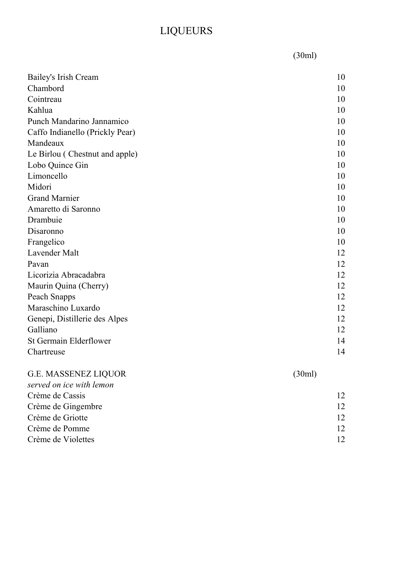# LIQUEURS

(30ml)

| Bailey's Irish Cream            | 10     |
|---------------------------------|--------|
| Chambord                        | 10     |
| Cointreau                       | 10     |
| Kahlua                          | 10     |
| Punch Mandarino Jannamico       | 10     |
| Caffo Indianello (Prickly Pear) | 10     |
| Mandeaux                        | 10     |
| Le Birlou (Chestnut and apple)  | 10     |
| Lobo Quince Gin                 | 10     |
| Limoncello                      | 10     |
| Midori                          | 10     |
| <b>Grand Marnier</b>            | 10     |
| Amaretto di Saronno             | 10     |
| Drambuie                        | 10     |
| Disaronno                       | 10     |
| Frangelico                      | 10     |
| Lavender Malt                   | 12     |
| Pavan                           | 12     |
| Licorizia Abracadabra           | 12     |
| Maurin Quina (Cherry)           | 12     |
| Peach Snapps                    | 12     |
| Maraschino Luxardo              | 12     |
| Genepi, Distillerie des Alpes   | 12     |
| Galliano                        | 12     |
| <b>St Germain Elderflower</b>   | 14     |
| Chartreuse                      | 14     |
| <b>G.E. MASSENEZ LIQUOR</b>     | (30ml) |
| served on ice with lemon        |        |
| Crème de Cassis                 | 12     |
| Crème de Gingembre              | 12     |
| Crème de Griotte                | 12     |
| Crème de Pomme                  | 12     |
| Crème de Violettes              | 12     |
|                                 |        |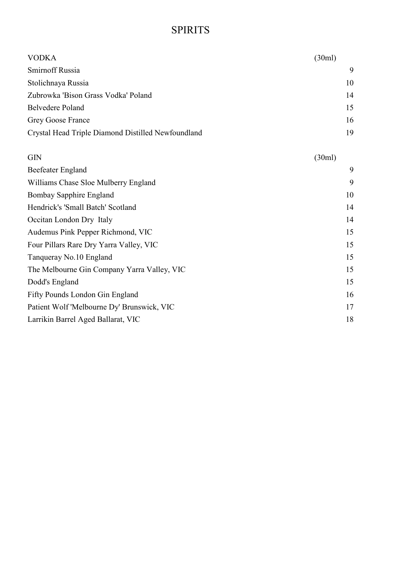#### SPIRITS

| <b>VODKA</b>                                       | (30ml) |
|----------------------------------------------------|--------|
| Smirnoff Russia                                    | 9      |
| Stolichnaya Russia                                 | 10     |
| Zubrowka 'Bison Grass Vodka' Poland                | 14     |
| <b>Belvedere Poland</b>                            | 15     |
| Grey Goose France                                  | 16     |
| Crystal Head Triple Diamond Distilled Newfoundland | 19     |

| (30ml) |
|--------|
| 9      |
| 9      |
| 10     |
| 14     |
| 14     |
| 15     |
| 15     |
| 15     |
| 15     |
| 15     |
| 16     |
| 17     |
| 18     |
|        |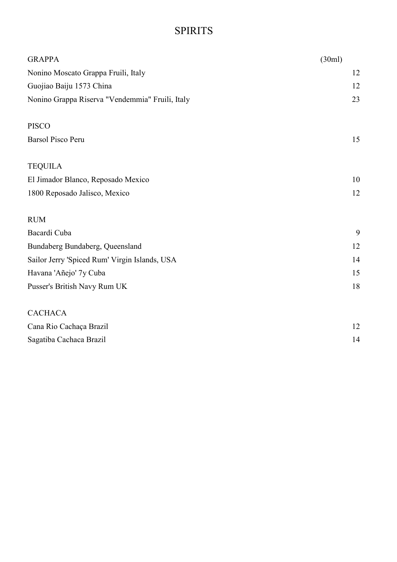### SPIRITS

| <b>GRAPPA</b>                                   | (30ml) |
|-------------------------------------------------|--------|
| Nonino Moscato Grappa Fruili, Italy             | 12     |
| Guojiao Baiju 1573 China                        | 12     |
| Nonino Grappa Riserva "Vendemmia" Fruili, Italy | 23     |
| <b>PISCO</b>                                    |        |
| <b>Barsol Pisco Peru</b>                        | 15     |
| <b>TEQUILA</b>                                  |        |
| El Jimador Blanco, Reposado Mexico              | 10     |
| 1800 Reposado Jalisco, Mexico                   | 12     |
| <b>RUM</b>                                      |        |
| Bacardi Cuba                                    | 9      |
| Bundaberg Bundaberg, Queensland                 | 12     |
| Sailor Jerry 'Spiced Rum' Virgin Islands, USA   | 14     |
| Havana 'Añejo' 7y Cuba                          | 15     |
| Pusser's British Navy Rum UK                    | 18     |
| <b>CACHACA</b>                                  |        |
| Cana Rio Cachaça Brazil                         | 12     |
| Sagatiba Cachaca Brazil                         | 14     |